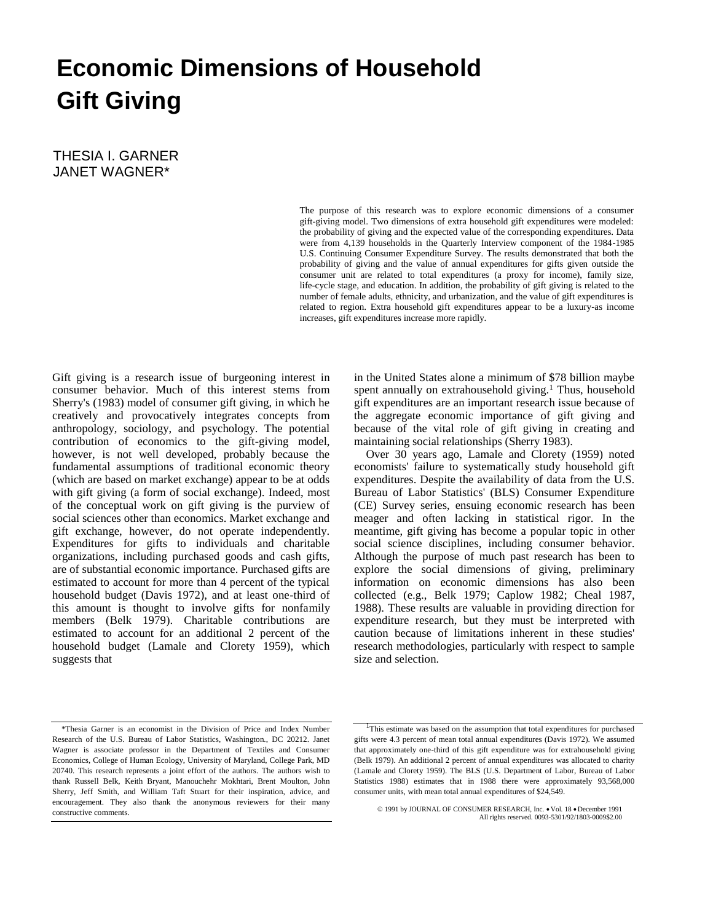# **Economic Dimensions of Household Gift Giving**

THESIA I. GARNER JANET WAGNER\*

> The purpose of this research was to explore economic dimensions of a consumer gift-giving model. Two dimensions of extra household gift expenditures were modeled: the probability of giving and the expected value of the corresponding expenditures. Data were from 4,139 households in the Quarterly Interview component of the 1984-1985 U.S. Continuing Consumer Expenditure Survey. The results demonstrated that both the probability of giving and the value of annual expenditures for gifts given outside the consumer unit are related to total expenditures (a proxy for income), family size, life-cycle stage, and education. In addition, the probability of gift giving is related to the number of female adults, ethnicity, and urbanization, and the value of gift expenditures is related to region. Extra household gift expenditures appear to be a luxury-as income increases, gift expenditures increase more rapidly.

Gift giving is a research issue of burgeoning interest in consumer behavior. Much of this interest stems from Sherry's (1983) model of consumer gift giving, in which he creatively and provocatively integrates concepts from anthropology, sociology, and psychology. The potential contribution of economics to the gift-giving model, however, is not well developed, probably because the fundamental assumptions of traditional economic theory (which are based on market exchange) appear to be at odds with gift giving (a form of social exchange). Indeed, most of the conceptual work on gift giving is the purview of social sciences other than economics. Market exchange and gift exchange, however, do not operate independently. Expenditures for gifts to individuals and charitable organizations, including purchased goods and cash gifts, are of substantial economic importance. Purchased gifts are estimated to account for more than 4 percent of the typical household budget (Davis 1972), and at least one-third of this amount is thought to involve gifts for nonfamily members (Belk 1979). Charitable contributions are estimated to account for an additional 2 percent of the household budget (Lamale and Clorety 1959), which suggests that

in the United States alone a minimum of \$78 billion maybe spent annually on extrahousehold giving.<sup>1</sup> Thus, household gift expenditures are an important research issue because of the aggregate economic importance of gift giving and because of the vital role of gift giving in creating and maintaining social relationships (Sherry 1983).

Over 30 years ago, Lamale and Clorety (1959) noted economists' failure to systematically study household gift expenditures. Despite the availability of data from the U.S. Bureau of Labor Statistics' (BLS) Consumer Expenditure (CE) Survey series, ensuing economic research has been meager and often lacking in statistical rigor. In the meantime, gift giving has become a popular topic in other social science disciplines, including consumer behavior. Although the purpose of much past research has been to explore the social dimensions of giving, preliminary information on economic dimensions has also been collected (e.g., Belk 1979; Caplow 1982; Cheal 1987, 1988). These results are valuable in providing direction for expenditure research, but they must be interpreted with caution because of limitations inherent in these studies' research methodologies, particularly with respect to sample size and selection.

<sup>\*</sup>Thesia Garner is an economist in the Division of Price and Index Number Research of the U.S. Bureau of Labor Statistics, Washington., DC 20212. Janet Wagner is associate professor in the Department of Textiles and Consumer Economics, College of Human Ecology, University of Maryland, College Park, MD 20740. This research represents a joint effort of the authors. The authors wish to thank Russell Belk, Keith Bryant, Manouchehr Mokhtari, Brent Moulton, John Sherry, Jeff Smith, and William Taft Stuart for their inspiration, advice, and encouragement. They also thank the anonymous reviewers for their many constructive comments.

<sup>&</sup>lt;sup>1</sup>This estimate was based on the assumption that total expenditures for purchased gifts were 4.3 percent of mean total annual expenditures (Davis 1972). We assumed that approximately one-third of this gift expenditure was for extrahousehold giving (Belk 1979). An additional 2 percent of annual expenditures was allocated to charity (Lamale and Clorety 1959). The BLS (U.S. Department of Labor, Bureau of Labor Statistics 1988) estimates that in 1988 there were approximately 93,568,000 consumer units, with mean total annual expenditures of \$24,549.

<sup>© 1991</sup> by JOURNAL OF CONSUMER RESEARCH, Inc. Vol. 18 December 1991 All rights reserved. 0093-5301/92/1803-0009\$2.00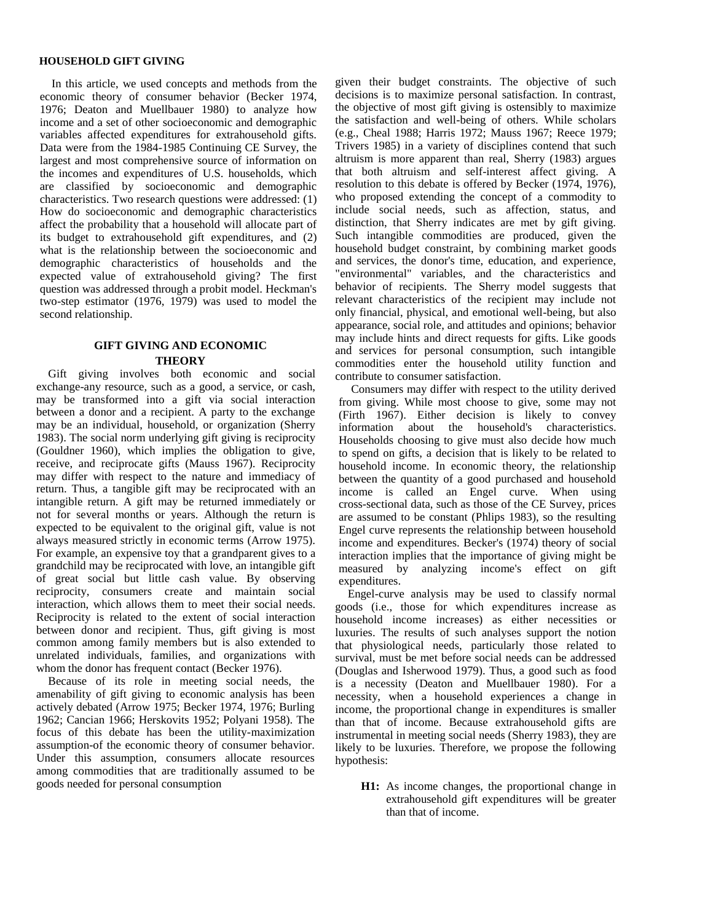#### **HOUSEHOLD GIFT GIVING**

In this article, we used concepts and methods from the economic theory of consumer behavior (Becker 1974, 1976; Deaton and Muellbauer 1980) to analyze how income and a set of other socioeconomic and demographic variables affected expenditures for extrahousehold gifts. Data were from the 1984-1985 Continuing CE Survey, the largest and most comprehensive source of information on the incomes and expenditures of U.S. households, which are classified by socioeconomic and demographic characteristics. Two research questions were addressed: (1) How do socioeconomic and demographic characteristics affect the probability that a household will allocate part of its budget to extrahousehold gift expenditures, and (2) what is the relationship between the socioeconomic and demographic characteristics of households and the expected value of extrahousehold giving? The first question was addressed through a probit model. Heckman's two-step estimator (1976, 1979) was used to model the second relationship.

# **GIFT GIVING AND ECONOMIC THEORY**

Gift giving involves both economic and social exchange-any resource, such as a good, a service, or cash, may be transformed into a gift via social interaction between a donor and a recipient. A party to the exchange may be an individual, household, or organization (Sherry 1983). The social norm underlying gift giving is reciprocity (Gouldner 1960), which implies the obligation to give, receive, and reciprocate gifts (Mauss 1967). Reciprocity may differ with respect to the nature and immediacy of return. Thus, a tangible gift may be reciprocated with an intangible return. A gift may be returned immediately or not for several months or years. Although the return is expected to be equivalent to the original gift, value is not always measured strictly in economic terms (Arrow 1975). For example, an expensive toy that a grandparent gives to a grandchild may be reciprocated with love, an intangible gift of great social but little cash value. By observing reciprocity, consumers create and maintain social interaction, which allows them to meet their social needs. Reciprocity is related to the extent of social interaction between donor and recipient. Thus, gift giving is most common among family members but is also extended to unrelated individuals, families, and organizations with whom the donor has frequent contact (Becker 1976).

Because of its role in meeting social needs, the amenability of gift giving to economic analysis has been actively debated (Arrow 1975; Becker 1974, 1976; Burling 1962; Cancian 1966; Herskovits 1952; Polyani 1958). The focus of this debate has been the utility-maximization assumption-of the economic theory of consumer behavior. Under this assumption, consumers allocate resources among commodities that are traditionally assumed to be goods needed for personal consumption

given their budget constraints. The objective of such decisions is to maximize personal satisfaction. In contrast, the objective of most gift giving is ostensibly to maximize the satisfaction and well-being of others. While scholars (e.g., Cheal 1988; Harris 1972; Mauss 1967; Reece 1979; Trivers 1985) in a variety of disciplines contend that such altruism is more apparent than real, Sherry (1983) argues that both altruism and self-interest affect giving. A resolution to this debate is offered by Becker (1974, 1976), who proposed extending the concept of a commodity to include social needs, such as affection, status, and distinction, that Sherry indicates are met by gift giving. Such intangible commodities are produced, given the household budget constraint, by combining market goods and services, the donor's time, education, and experience, "environmental" variables, and the characteristics and behavior of recipients. The Sherry model suggests that relevant characteristics of the recipient may include not only financial, physical, and emotional well-being, but also appearance, social role, and attitudes and opinions; behavior may include hints and direct requests for gifts. Like goods and services for personal consumption, such intangible commodities enter the household utility function and contribute to consumer satisfaction.

Consumers may differ with respect to the utility derived from giving. While most choose to give, some may not (Firth 1967). Either decision is likely to convey information about the household's characteristics. Households choosing to give must also decide how much to spend on gifts, a decision that is likely to be related to household income. In economic theory, the relationship between the quantity of a good purchased and household income is called an Engel curve. When using cross-sectional data, such as those of the CE Survey, prices are assumed to be constant (Phlips 1983), so the resulting Engel curve represents the relationship between household income and expenditures. Becker's (1974) theory of social interaction implies that the importance of giving might be measured by analyzing income's effect on gift expenditures.

Engel-curve analysis may be used to classify normal goods (i.e., those for which expenditures increase as household income increases) as either necessities or luxuries. The results of such analyses support the notion that physiological needs, particularly those related to survival, must be met before social needs can be addressed (Douglas and Isherwood 1979). Thus, a good such as food is a necessity (Deaton and Muellbauer 1980). For a necessity, when a household experiences a change in income, the proportional change in expenditures is smaller than that of income. Because extrahousehold gifts are instrumental in meeting social needs (Sherry 1983), they are likely to be luxuries. Therefore, we propose the following hypothesis:

**H1:** As income changes, the proportional change in extrahousehold gift expenditures will be greater than that of income.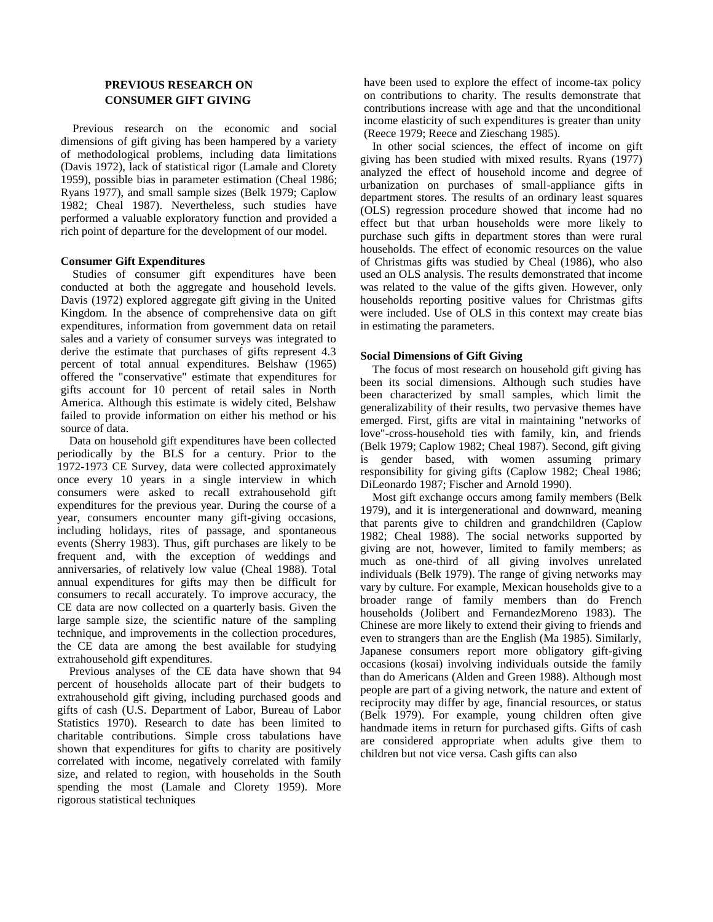## **PREVIOUS RESEARCH ON CONSUMER GIFT GIVING**

Previous research on the economic and social dimensions of gift giving has been hampered by a variety of methodological problems, including data limitations (Davis 1972), lack of statistical rigor (Lamale and Clorety 1959), possible bias in parameter estimation (Cheal 1986; Ryans 1977), and small sample sizes (Belk 1979; Caplow 1982; Cheal 1987). Nevertheless, such studies have performed a valuable exploratory function and provided a rich point of departure for the development of our model.

## **Consumer Gift Expenditures**

Studies of consumer gift expenditures have been conducted at both the aggregate and household levels. Davis (1972) explored aggregate gift giving in the United Kingdom. In the absence of comprehensive data on gift expenditures, information from government data on retail sales and a variety of consumer surveys was integrated to derive the estimate that purchases of gifts represent 4.3 percent of total annual expenditures. Belshaw (1965) offered the "conservative" estimate that expenditures for gifts account for 10 percent of retail sales in North America. Although this estimate is widely cited, Belshaw failed to provide information on either his method or his source of data.

Data on household gift expenditures have been collected periodically by the BLS for a century. Prior to the 1972-1973 CE Survey, data were collected approximately once every 10 years in a single interview in which consumers were asked to recall extrahousehold gift expenditures for the previous year. During the course of a year, consumers encounter many gift-giving occasions, including holidays, rites of passage, and spontaneous events (Sherry 1983). Thus, gift purchases are likely to be frequent and, with the exception of weddings and anniversaries, of relatively low value (Cheal 1988). Total annual expenditures for gifts may then be difficult for consumers to recall accurately. To improve accuracy, the CE data are now collected on a quarterly basis. Given the large sample size, the scientific nature of the sampling technique, and improvements in the collection procedures, the CE data are among the best available for studying extrahousehold gift expenditures.

Previous analyses of the CE data have shown that 94 percent of households allocate part of their budgets to extrahousehold gift giving, including purchased goods and gifts of cash (U.S. Department of Labor, Bureau of Labor Statistics 1970). Research to date has been limited to charitable contributions. Simple cross tabulations have shown that expenditures for gifts to charity are positively correlated with income, negatively correlated with family size, and related to region, with households in the South spending the most (Lamale and Clorety 1959). More rigorous statistical techniques

have been used to explore the effect of income-tax policy on contributions to charity. The results demonstrate that contributions increase with age and that the unconditional income elasticity of such expenditures is greater than unity (Reece 1979; Reece and Zieschang 1985).

In other social sciences, the effect of income on gift giving has been studied with mixed results. Ryans (1977) analyzed the effect of household income and degree of urbanization on purchases of small-appliance gifts in department stores. The results of an ordinary least squares (OLS) regression procedure showed that income had no effect but that urban households were more likely to purchase such gifts in department stores than were rural households. The effect of economic resources on the value of Christmas gifts was studied by Cheal (1986), who also used an OLS analysis. The results demonstrated that income was related to the value of the gifts given. However, only households reporting positive values for Christmas gifts were included. Use of OLS in this context may create bias in estimating the parameters.

## **Social Dimensions of Gift Giving**

The focus of most research on household gift giving has been its social dimensions. Although such studies have been characterized by small samples, which limit the generalizability of their results, two pervasive themes have emerged. First, gifts are vital in maintaining "networks of love"-cross-household ties with family, kin, and friends (Belk 1979; Caplow 1982; Cheal 1987). Second, gift giving is gender based, with women assuming primary responsibility for giving gifts (Caplow 1982; Cheal 1986; DiLeonardo 1987; Fischer and Arnold 1990).

Most gift exchange occurs among family members (Belk 1979), and it is intergenerational and downward, meaning that parents give to children and grandchildren (Caplow 1982; Cheal 1988). The social networks supported by giving are not, however, limited to family members; as much as one-third of all giving involves unrelated individuals (Belk 1979). The range of giving networks may vary by culture. For example, Mexican households give to a broader range of family members than do French households (Jolibert and FernandezMoreno 1983). The Chinese are more likely to extend their giving to friends and even to strangers than are the English (Ma 1985). Similarly, Japanese consumers report more obligatory gift-giving occasions (kosai) involving individuals outside the family than do Americans (Alden and Green 1988). Although most people are part of a giving network, the nature and extent of reciprocity may differ by age, financial resources, or status (Belk 1979). For example, young children often give handmade items in return for purchased gifts. Gifts of cash are considered appropriate when adults give them to children but not vice versa. Cash gifts can also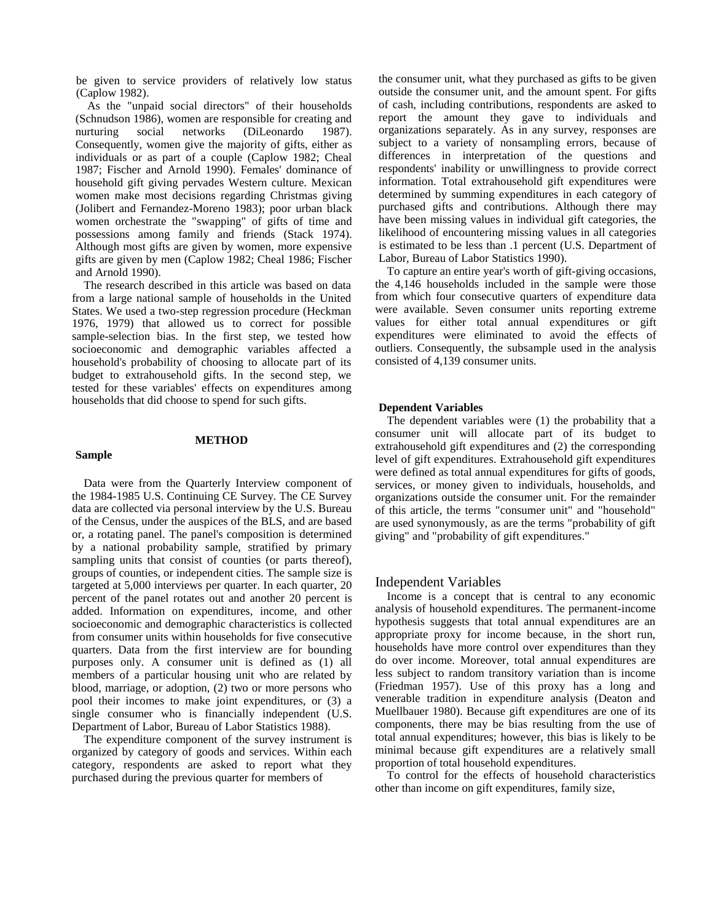be given to service providers of relatively low status (Caplow 1982).

As the "unpaid social directors" of their households (Schnudson 1986), women are responsible for creating and nurturing social networks (DiLeonardo 1987). Consequently, women give the majority of gifts, either as individuals or as part of a couple (Caplow 1982; Cheal 1987; Fischer and Arnold 1990). Females' dominance of household gift giving pervades Western culture. Mexican women make most decisions regarding Christmas giving (Jolibert and Fernandez-Moreno 1983); poor urban black women orchestrate the "swapping" of gifts of time and possessions among family and friends (Stack 1974). Although most gifts are given by women, more expensive gifts are given by men (Caplow 1982; Cheal 1986; Fischer and Arnold 1990).

The research described in this article was based on data from a large national sample of households in the United States. We used a two-step regression procedure (Heckman 1976, 1979) that allowed us to correct for possible sample-selection bias. In the first step, we tested how socioeconomic and demographic variables affected a household's probability of choosing to allocate part of its budget to extrahousehold gifts. In the second step, we tested for these variables' effects on expenditures among households that did choose to spend for such gifts.

#### **Sample**

## **METHOD**

Data were from the Quarterly Interview component of the 1984-1985 U.S. Continuing CE Survey. The CE Survey data are collected via personal interview by the U.S. Bureau of the Census, under the auspices of the BLS, and are based or, a rotating panel. The panel's composition is determined by a national probability sample, stratified by primary sampling units that consist of counties (or parts thereof), groups of counties, or independent cities. The sample size is targeted at 5,000 interviews per quarter. In each quarter, 20 percent of the panel rotates out and another 20 percent is added. Information on expenditures, income, and other socioeconomic and demographic characteristics is collected from consumer units within households for five consecutive quarters. Data from the first interview are for bounding purposes only. A consumer unit is defined as (1) all members of a particular housing unit who are related by blood, marriage, or adoption, (2) two or more persons who pool their incomes to make joint expenditures, or (3) a single consumer who is financially independent (U.S. Department of Labor, Bureau of Labor Statistics 1988).

The expenditure component of the survey instrument is organized by category of goods and services. Within each category, respondents are asked to report what they purchased during the previous quarter for members of

the consumer unit, what they purchased as gifts to be given outside the consumer unit, and the amount spent. For gifts of cash, including contributions, respondents are asked to report the amount they gave to individuals and organizations separately. As in any survey, responses are subject to a variety of nonsampling errors, because of differences in interpretation of the questions and respondents' inability or unwillingness to provide correct information. Total extrahousehold gift expenditures were determined by summing expenditures in each category of purchased gifts and contributions. Although there may have been missing values in individual gift categories, the likelihood of encountering missing values in all categories is estimated to be less than .1 percent (U.S. Department of Labor, Bureau of Labor Statistics 1990).

To capture an entire year's worth of gift-giving occasions, the 4,146 households included in the sample were those from which four consecutive quarters of expenditure data were available. Seven consumer units reporting extreme values for either total annual expenditures or gift expenditures were eliminated to avoid the effects of outliers. Consequently, the subsample used in the analysis consisted of 4,139 consumer units.

#### **Dependent Variables**

The dependent variables were (1) the probability that a consumer unit will allocate part of its budget to extrahousehold gift expenditures and (2) the corresponding level of gift expenditures. Extrahousehold gift expenditures were defined as total annual expenditures for gifts of goods, services, or money given to individuals, households, and organizations outside the consumer unit. For the remainder of this article, the terms "consumer unit" and "household" are used synonymously, as are the terms "probability of gift giving" and "probability of gift expenditures."

## Independent Variables

Income is a concept that is central to any economic analysis of household expenditures. The permanent-income hypothesis suggests that total annual expenditures are an appropriate proxy for income because, in the short run, households have more control over expenditures than they do over income. Moreover, total annual expenditures are less subject to random transitory variation than is income (Friedman 1957). Use of this proxy has a long and venerable tradition in expenditure analysis (Deaton and Muellbauer 1980). Because gift expenditures are one of its components, there may be bias resulting from the use of total annual expenditures; however, this bias is likely to be minimal because gift expenditures are a relatively small proportion of total household expenditures.

To control for the effects of household characteristics other than income on gift expenditures, family size,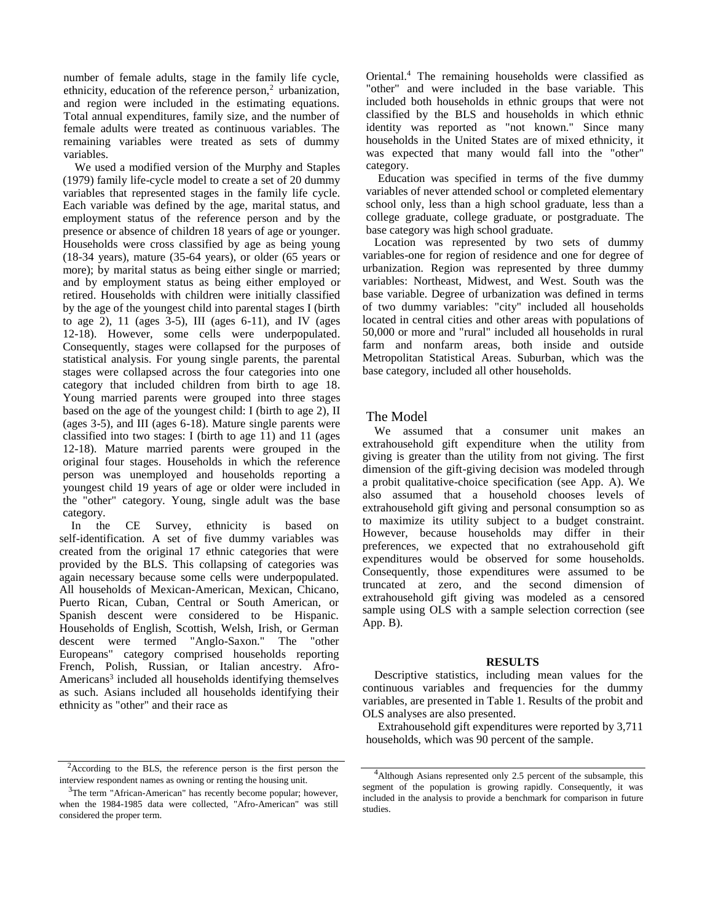number of female adults, stage in the family life cycle, ethnicity, education of the reference person, $2$  urbanization, and region were included in the estimating equations. Total annual expenditures, family size, and the number of female adults were treated as continuous variables. The remaining variables were treated as sets of dummy variables.

We used a modified version of the Murphy and Staples (1979) family life-cycle model to create a set of 20 dummy variables that represented stages in the family life cycle. Each variable was defined by the age, marital status, and employment status of the reference person and by the presence or absence of children 18 years of age or younger. Households were cross classified by age as being young (18-34 years), mature (35-64 years), or older (65 years or more); by marital status as being either single or married; and by employment status as being either employed or retired. Households with children were initially classified by the age of the youngest child into parental stages I (birth to age 2), 11 (ages  $3-5$ ), III (ages  $6-11$ ), and IV (ages 12-18). However, some cells were underpopulated. Consequently, stages were collapsed for the purposes of statistical analysis. For young single parents, the parental stages were collapsed across the four categories into one category that included children from birth to age 18. Young married parents were grouped into three stages based on the age of the youngest child: I (birth to age 2), II (ages 3-5), and III (ages 6-18). Mature single parents were classified into two stages: I (birth to age 11) and 11 (ages 12-18). Mature married parents were grouped in the original four stages. Households in which the reference person was unemployed and households reporting a youngest child 19 years of age or older were included in the "other" category. Young, single adult was the base category.

In the CE Survey, ethnicity is based on self-identification. A set of five dummy variables was created from the original 17 ethnic categories that were provided by the BLS. This collapsing of categories was again necessary because some cells were underpopulated. All households of Mexican-American, Mexican, Chicano, Puerto Rican, Cuban, Central or South American, or Spanish descent were considered to be Hispanic. Households of English, Scottish, Welsh, Irish, or German descent were termed "Anglo-Saxon." The "other Europeans" category comprised households reporting French, Polish, Russian, or Italian ancestry. Afro-Americans<sup>3</sup> included all households identifying themselves as such. Asians included all households identifying their ethnicity as "other" and their race as

 $2$ According to the BLS, the reference person is the first person the interview respondent names as owning or renting the housing unit.

Oriental.<sup>4</sup> The remaining households were classified as "other" and were included in the base variable. This included both households in ethnic groups that were not classified by the BLS and households in which ethnic identity was reported as "not known." Since many households in the United States are of mixed ethnicity, it was expected that many would fall into the "other" category.

Education was specified in terms of the five dummy variables of never attended school or completed elementary school only, less than a high school graduate, less than a college graduate, college graduate, or postgraduate. The base category was high school graduate.

Location was represented by two sets of dummy variables-one for region of residence and one for degree of urbanization. Region was represented by three dummy variables: Northeast, Midwest, and West. South was the base variable. Degree of urbanization was defined in terms of two dummy variables: "city" included all households located in central cities and other areas with populations of 50,000 or more and "rural" included all households in rural farm and nonfarm areas, both inside and outside Metropolitan Statistical Areas. Suburban, which was the base category, included all other households.

## The Model

We assumed that a consumer unit makes an extrahousehold gift expenditure when the utility from giving is greater than the utility from not giving. The first dimension of the gift-giving decision was modeled through a probit qualitative-choice specification (see App. A). We also assumed that a household chooses levels of extrahousehold gift giving and personal consumption so as to maximize its utility subject to a budget constraint. However, because households may differ in their preferences, we expected that no extrahousehold gift expenditures would be observed for some households. Consequently, those expenditures were assumed to be truncated at zero, and the second dimension of extrahousehold gift giving was modeled as a censored sample using OLS with a sample selection correction (see App. B).

#### **RESULTS**

Descriptive statistics, including mean values for the continuous variables and frequencies for the dummy variables, are presented in Table 1. Results of the probit and OLS analyses are also presented.

Extrahousehold gift expenditures were reported by 3,711 households, which was 90 percent of the sample.

<sup>&</sup>lt;sup>3</sup>The term "African-American" has recently become popular; however, when the 1984-1985 data were collected, "Afro-American" was still considered the proper term.

<sup>4</sup>Although Asians represented only 2.5 percent of the subsample, this segment of the population is growing rapidly. Consequently, it was included in the analysis to provide a benchmark for comparison in future studies.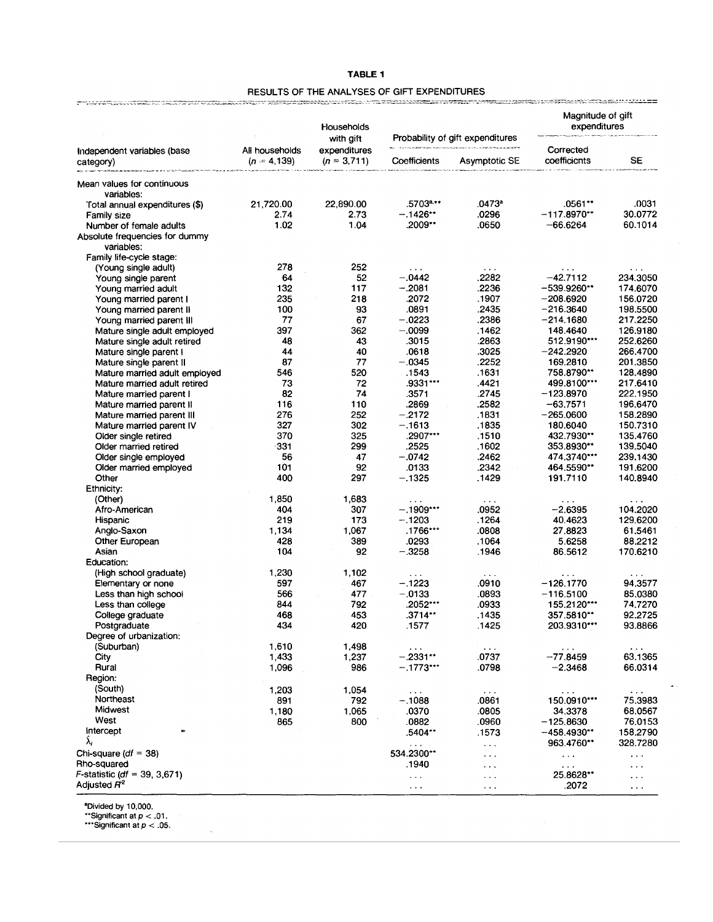| <b>TABLE 1</b>                               |
|----------------------------------------------|
| RESULTS OF THE ANALYSES OF GIFT EXPENDITURES |

|                                                          |                                  | Households                                 |                               |                                                   | Magnitude of gift<br>expenditures |                                   |
|----------------------------------------------------------|----------------------------------|--------------------------------------------|-------------------------------|---------------------------------------------------|-----------------------------------|-----------------------------------|
| Independent variables (base<br>category)                 | All households<br>$(n = 4, 139)$ | with gift<br>expenditures<br>$(n = 3,711)$ | Coefficients                  | Probability of gift expenditures<br>Asymptotic SE | Corrected<br>coefficients         | SE                                |
| Mean values for continuous                               |                                  |                                            |                               |                                                   |                                   |                                   |
| variables:                                               |                                  |                                            |                               |                                                   |                                   |                                   |
| Total annual expenditures (\$)                           | 21,720.00                        | 22,890.00                                  | .5703 <sup>a.</sup> **        | .0473ª                                            | .0561**                           | .0031                             |
| <b>Family size</b>                                       | 2.74                             | 2.73                                       | –.1426**                      | .0296                                             | $-117.8970**$                     | 30.0772                           |
| Number of female adults                                  | 1.02                             | 1.04                                       | .2009                         | .0650                                             | $-66.6264$                        | 60.1014                           |
| Absolute frequencies for dummy<br>variables:             |                                  |                                            |                               |                                                   |                                   |                                   |
| Family life-cycle stage:                                 |                                  |                                            |                               |                                                   |                                   |                                   |
| (Young single adult)                                     | 278                              | 252                                        |                               |                                                   |                                   |                                   |
| Young single parent                                      | 64                               | 52                                         | $-.0442$                      | .2282                                             | $-42.7112$                        | 234.3050                          |
| Young married adult                                      | 132                              | 117                                        | $-.2081$                      | .2236                                             | $-539.9260**$                     | 174.6070                          |
| Young married parent I                                   | 235                              | 218                                        | .2072                         | .1907                                             | $-208.6920$                       | 156.0720                          |
| Young married parent II                                  | 100<br>77                        | 93                                         | .0891<br>$-.0223$             | .2435<br>.2386                                    | $-216.3640$                       | 198.5500                          |
| Young married parent III<br>Mature single adult employed | 397                              | 67<br>362                                  | $-.0099$                      | .1462                                             | $-214.1680$                       | 217.2250<br>126.9180              |
|                                                          | 48                               | 43                                         | .3015                         | .2863                                             | 148.4640<br>512.9190***           | 252.6260                          |
| Mature single adult retired<br>Mature single parent I    | 44                               | 40                                         | .0618                         | .3025                                             | $-242.2920$                       | 266.4700                          |
| Mature single parent II                                  | 87                               | 77                                         | $-.0345$                      | .2252                                             | 169.2810                          | 201.3850                          |
| Mature married adult employed                            | 546                              | 520                                        | .1543                         | .1631                                             | .758.8790**                       | 128.4890                          |
| Mature married adult retired                             | 73                               | 72                                         | .9331***                      | .4421                                             | 499.8100***                       | 217.6410                          |
| Mature married parent I                                  | 82                               | 74                                         | .3571                         | .2745                                             | $-123.8970$                       | 222.1950                          |
| Mature married parent II                                 | 116                              | 110                                        | .2869                         | .2582                                             | -63.7571                          | 196.6470                          |
| Mature married parent III                                | 276                              | 252                                        | $-.2172$                      | .1831                                             | $-265.0600$                       | 158.2890                          |
| Mature married parent IV                                 | 327                              | 302                                        | $-.1613$                      | .1835                                             | 180.6040                          | 150.7310                          |
| Older single retired                                     | 370                              | 325                                        | .2907***                      | .1510                                             | 432.7930**                        | 135.4760                          |
| Older married retired                                    | -331                             | 299                                        | .2525                         | .1602                                             | 353.8930**                        | 139.5040                          |
| Older single employed                                    | 56                               | 47                                         | $-.0742$                      | .2462                                             | 474.3740***                       | 239.1430                          |
| Older married employed                                   | 101                              | 92                                         | .0133                         | .2342                                             | 464.5590**                        | 191.6200                          |
| Other                                                    | 400                              | 297                                        | $-.1325$                      | .1429                                             | 191.7110                          | 140.8940                          |
| Ethnicity:                                               |                                  |                                            |                               |                                                   |                                   |                                   |
| (Other)                                                  | 1,850                            | 1,683                                      | $\sim$ $\sim$ $\sim$          | $\sim$ $\sim$ $\sim$                              | $\cdots$                          | $\cdots$                          |
| Afro-American                                            | 404                              | 307                                        | $-.1909***$                   | .0952                                             | $-2.6395$                         | 104.2020                          |
| Hispanic                                                 | 219                              | 173                                        | $-.1203$                      | .1264                                             | 40.4623                           | 129,6200                          |
| Anglo-Saxon                                              | 1,134                            | 1,067                                      | .1766***                      | .0808                                             | 27.8823                           | 61.5461                           |
| Other European                                           | 428                              | 389                                        | .0293                         | .1064                                             | 5.6258                            | 88,2212                           |
| Asian                                                    | 104                              | 92                                         | $-.3258$                      | .1946                                             | 86.5612                           | 170.6210                          |
| Education:                                               |                                  |                                            |                               |                                                   |                                   |                                   |
| (High school graduate)                                   | 1,230                            | 1,102                                      | $\cdots$<br>$-.1223$          | $\sim$ $\sim$ $\sim$                              | $\ddotsc$<br>$-126.1770$          | $\cdots$                          |
| Elementary or none<br>Less than high school              | 597<br>566                       | 467<br>477                                 | $-.0133$                      | .0910<br>.0893                                    | $-116.5100$                       | 94.3577<br>85.0380                |
| Less than college                                        | 844                              | 792                                        | .2052***                      | .0933                                             | 155.2120***                       | 74.7270                           |
| College graduate                                         | 468                              | 453                                        | $.3714**$                     | .1435                                             | $357.5810**$                      | 92.2725                           |
| Postgraduate                                             | 434                              | 420                                        | .1577                         | .1425                                             | 203.9310***                       | 93.8866                           |
| Degree of urbanization:                                  |                                  |                                            |                               |                                                   |                                   |                                   |
| (Suburban)                                               | 1,610                            | 1,498                                      | $\cdots$                      | $\sim$ $\sim$ $\sim$                              |                                   |                                   |
| City                                                     | 1,433                            | 1,237                                      | $-.2331**$                    | .0737                                             | $\cdots$<br>$-77.8459$            | 63.1365                           |
| Rural                                                    | 1,096                            | 986                                        | --.1773***                    | .0798                                             | $-2.3468$                         | 66.0314                           |
| Region:                                                  |                                  |                                            |                               |                                                   |                                   |                                   |
| (South)                                                  | 1,203                            | 1,054                                      | $\epsilon \rightarrow \infty$ | $\sim$ $\sim$ $\sim$                              |                                   | $\sim$ $\sim$ $\sim$              |
| Northeast                                                | 891                              | 792                                        | $-.1088$                      | .0861                                             | $\sim$ $\sim$<br>150.0910***      | 75,3983                           |
| Midwest                                                  | 1,180                            | 1,065                                      | .0370                         | .0805                                             | 34.3378                           | 68.0567                           |
| West                                                     | 865                              | 800                                        | .0882                         | .0960                                             | $-125.8630$                       | 76.0153                           |
| intercept                                                |                                  |                                            | .5404**                       | .1573                                             | -458.4930**                       | 158.2790                          |
| λ,                                                       |                                  |                                            | $\cdots$                      | $\sim$ $\sim$                                     | 963.4760**                        | 328.7280                          |
| Chi-square ( $df = 38$ )                                 |                                  |                                            | 534.2300**                    | $\epsilon \rightarrow \infty$                     | $\sim$ $\sim$ $\sim$              | $\bullet$ , $\bullet$ , $\bullet$ |
| Rho-squared                                              |                                  |                                            | .1940                         | $\sim$ $\sim$                                     | $\sim$ $\sim$                     | .                                 |
| <i>F</i> -statistic (df = 39, 3,671)                     |                                  |                                            | $\cdots$                      | $\sim$ $\sim$                                     | 25.8628**                         | $\cdots$                          |
| Adjusted $H^2$                                           |                                  |                                            | $\cdots$                      | $\cdots$                                          | .2072                             | $\sim$ $\sim$ $\sim$              |

and Divided by 10,000.<br>
\*\*Significant at  $p < .01$ .<br>
\*\*\*Significant at  $p < .05$ .

 $\hat{\Phi}$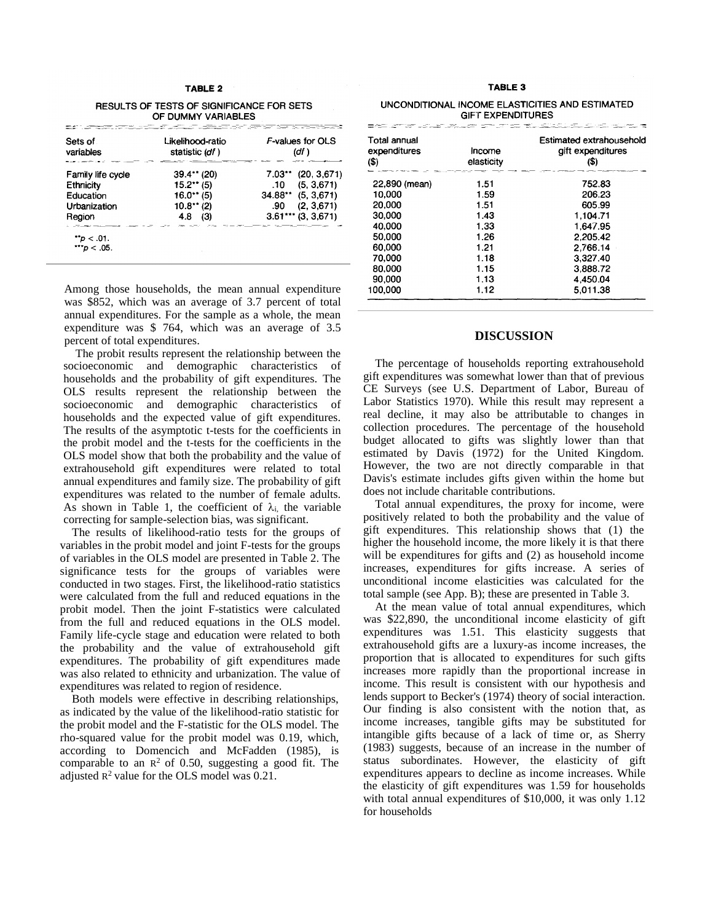#### **TABLE 2**

**RESULTS OF TESTS OF SIGNIFICANCE FOR SETS** OF DUMMY VARIABLES

| Sets of<br>variables | <b>F-values for OLS</b><br>Likelihood-ratio<br>statistic (df)<br>(df ) |                      |
|----------------------|------------------------------------------------------------------------|----------------------|
| Family life cycle    | $39.4**$ (20)                                                          | $7.03$ $(20.3.671)$  |
| Ethnicity            | $15.2**$ (5)                                                           | .10(5, 3.671)        |
| Education            | $16.0**$ (5)                                                           | $34.88**$ (5, 3,671) |
| <b>Urbanization</b>  | $10.8$ <sup>*</sup> * (2)                                              | .90(2, 3.671)        |
| Region               | 4.8<br>(3)                                                             | $3.61***$ (3, 3,671) |

Among those households, the mean annual expenditure was \$852, which was an average of 3.7 percent of total annual expenditures. For the sample as a whole, the mean expenditure was \$ 764, which was an average of 3.5 percent of total expenditures.

The probit results represent the relationship between the socioeconomic and demographic characteristics of households and the probability of gift expenditures. The OLS results represent the relationship between the socioeconomic and demographic characteristics of households and the expected value of gift expenditures. The results of the asymptotic t-tests for the coefficients in the probit model and the t-tests for the coefficients in the OLS model show that both the probability and the value of extrahousehold gift expenditures were related to total annual expenditures and family size. The probability of gift expenditures was related to the number of female adults. As shown in Table 1, the coefficient of  $\lambda_i$  the variable correcting for sample-selection bias, was significant.

The results of likelihood-ratio tests for the groups of variables in the probit model and joint F-tests for the groups of variables in the OLS model are presented in Table 2. The significance tests for the groups of variables were conducted in two stages. First, the likelihood-ratio statistics were calculated from the full and reduced equations in the probit model. Then the joint F-statistics were calculated from the full and reduced equations in the OLS model. Family life-cycle stage and education were related to both the probability and the value of extrahousehold gift expenditures. The probability of gift expenditures made was also related to ethnicity and urbanization. The value of expenditures was related to region of residence.

Both models were effective in describing relationships, as indicated by the value of the likelihood-ratio statistic for the probit model and the F-statistic for the OLS model. The rho-squared value for the probit model was 0.19, which, according to Domencich and McFadden (1985), is comparable to an  $\mathbb{R}^2$  of 0.50, suggesting a good fit. The adjusted  $R^2$  value for the OLS model was 0.21.

#### TABLE 3

| UNCONDITIONAL INCOME ELASTICITIES AND ESTIMATED |  |
|-------------------------------------------------|--|
| <b>GIFT EXPENDITURES</b>                        |  |

| Total annual<br>expenditures | Income     | Estimated extrahousehold<br>gift expenditures |  |
|------------------------------|------------|-----------------------------------------------|--|
| $\left( \text{\$}\right)$    | elasticity | (\$)                                          |  |
| 22,890 (mean)                | 1.51       | 752.83                                        |  |
| 10,000                       | 1.59       | 206.23                                        |  |
| 20,000                       | 1.51       | 605.99                                        |  |
| 30.000                       | 1.43       | 1.104.71                                      |  |
| 40.000                       | 1.33       | 1.647.95                                      |  |
| 50.000                       | 1.26       | 2.205.42                                      |  |
| 60.000                       | 1.21       | 2.766.14                                      |  |
| 70,000                       | 1.18       | 3.327.40                                      |  |
| 80,000                       | 1.15       | 3.888.72                                      |  |
| 90,000                       | 1.13       | 4,450.04                                      |  |
| 100.000                      | 1.12       | 5.011.38                                      |  |

### **DISCUSSION**

The percentage of households reporting extrahousehold gift expenditures was somewhat lower than that of previous CE Surveys (see U.S. Department of Labor, Bureau of Labor Statistics 1970). While this result may represent a real decline, it may also be attributable to changes in collection procedures. The percentage of the household budget allocated to gifts was slightly lower than that estimated by Davis (1972) for the United Kingdom. However, the two are not directly comparable in that Davis's estimate includes gifts given within the home but does not include charitable contributions.

Total annual expenditures, the proxy for income, were positively related to both the probability and the value of gift expenditures. This relationship shows that (1) the higher the household income, the more likely it is that there will be expenditures for gifts and (2) as household income increases, expenditures for gifts increase. A series of unconditional income elasticities was calculated for the total sample (see App. B); these are presented in Table 3.

At the mean value of total annual expenditures, which was \$22,890, the unconditional income elasticity of gift expenditures was 1.51. This elasticity suggests that extrahousehold gifts are a luxury-as income increases, the proportion that is allocated to expenditures for such gifts increases more rapidly than the proportional increase in income. This result is consistent with our hypothesis and lends support to Becker's (1974) theory of social interaction. Our finding is also consistent with the notion that, as income increases, tangible gifts may be substituted for intangible gifts because of a lack of time or, as Sherry (1983) suggests, because of an increase in the number of status subordinates. However, the elasticity of gift expenditures appears to decline as income increases. While the elasticity of gift expenditures was 1.59 for households with total annual expenditures of \$10,000, it was only 1.12 for households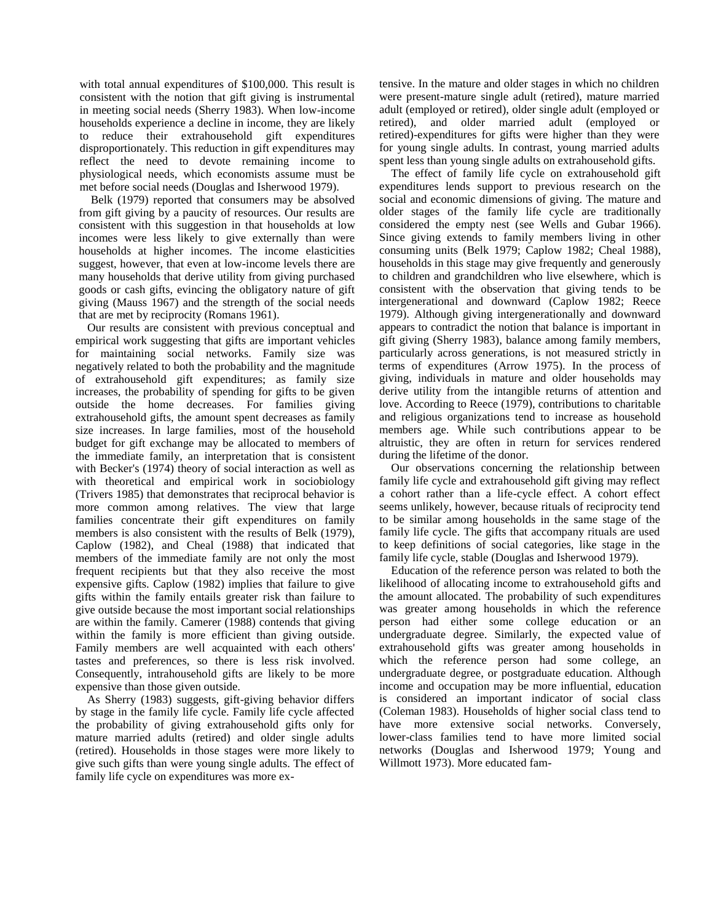with total annual expenditures of \$100,000. This result is consistent with the notion that gift giving is instrumental in meeting social needs (Sherry 1983). When low-income households experience a decline in income, they are likely to reduce their extrahousehold gift expenditures disproportionately. This reduction in gift expenditures may reflect the need to devote remaining income to physiological needs, which economists assume must be met before social needs (Douglas and Isherwood 1979).

Belk (1979) reported that consumers may be absolved from gift giving by a paucity of resources. Our results are consistent with this suggestion in that households at low incomes were less likely to give externally than were households at higher incomes. The income elasticities suggest, however, that even at low-income levels there are many households that derive utility from giving purchased goods or cash gifts, evincing the obligatory nature of gift giving (Mauss 1967) and the strength of the social needs that are met by reciprocity (Romans 1961).

Our results are consistent with previous conceptual and empirical work suggesting that gifts are important vehicles for maintaining social networks. Family size was negatively related to both the probability and the magnitude of extrahousehold gift expenditures; as family size increases, the probability of spending for gifts to be given outside the home decreases. For families giving extrahousehold gifts, the amount spent decreases as family size increases. In large families, most of the household budget for gift exchange may be allocated to members of the immediate family, an interpretation that is consistent with Becker's (1974) theory of social interaction as well as with theoretical and empirical work in sociobiology (Trivers 1985) that demonstrates that reciprocal behavior is more common among relatives. The view that large families concentrate their gift expenditures on family members is also consistent with the results of Belk (1979), Caplow (1982), and Cheal (1988) that indicated that members of the immediate family are not only the most frequent recipients but that they also receive the most expensive gifts. Caplow (1982) implies that failure to give gifts within the family entails greater risk than failure to give outside because the most important social relationships are within the family. Camerer (1988) contends that giving within the family is more efficient than giving outside. Family members are well acquainted with each others' tastes and preferences, so there is less risk involved. Consequently, intrahousehold gifts are likely to be more expensive than those given outside.

As Sherry (1983) suggests, gift-giving behavior differs by stage in the family life cycle. Family life cycle affected the probability of giving extrahousehold gifts only for mature married adults (retired) and older single adults (retired). Households in those stages were more likely to give such gifts than were young single adults. The effect of family life cycle on expenditures was more extensive. In the mature and older stages in which no children were present-mature single adult (retired), mature married adult (employed or retired), older single adult (employed or retired), and older married adult (employed or retired)-expenditures for gifts were higher than they were for young single adults. In contrast, young married adults spent less than young single adults on extrahousehold gifts.

The effect of family life cycle on extrahousehold gift expenditures lends support to previous research on the social and economic dimensions of giving. The mature and older stages of the family life cycle are traditionally considered the empty nest (see Wells and Gubar 1966). Since giving extends to family members living in other consuming units (Belk 1979; Caplow 1982; Cheal 1988), households in this stage may give frequently and generously to children and grandchildren who live elsewhere, which is consistent with the observation that giving tends to be intergenerational and downward (Caplow 1982; Reece 1979). Although giving intergenerationally and downward appears to contradict the notion that balance is important in gift giving (Sherry 1983), balance among family members, particularly across generations, is not measured strictly in terms of expenditures (Arrow 1975). In the process of giving, individuals in mature and older households may derive utility from the intangible returns of attention and love. According to Reece (1979), contributions to charitable and religious organizations tend to increase as household members age. While such contributions appear to be altruistic, they are often in return for services rendered during the lifetime of the donor.

Our observations concerning the relationship between family life cycle and extrahousehold gift giving may reflect a cohort rather than a life-cycle effect. A cohort effect seems unlikely, however, because rituals of reciprocity tend to be similar among households in the same stage of the family life cycle. The gifts that accompany rituals are used to keep definitions of social categories, like stage in the family life cycle, stable (Douglas and Isherwood 1979).

Education of the reference person was related to both the likelihood of allocating income to extrahousehold gifts and the amount allocated. The probability of such expenditures was greater among households in which the reference person had either some college education or an undergraduate degree. Similarly, the expected value of extrahousehold gifts was greater among households in which the reference person had some college, an undergraduate degree, or postgraduate education. Although income and occupation may be more influential, education is considered an important indicator of social class (Coleman 1983). Households of higher social class tend to have more extensive social networks. Conversely, lower-class families tend to have more limited social networks (Douglas and Isherwood 1979; Young and Willmott 1973). More educated fam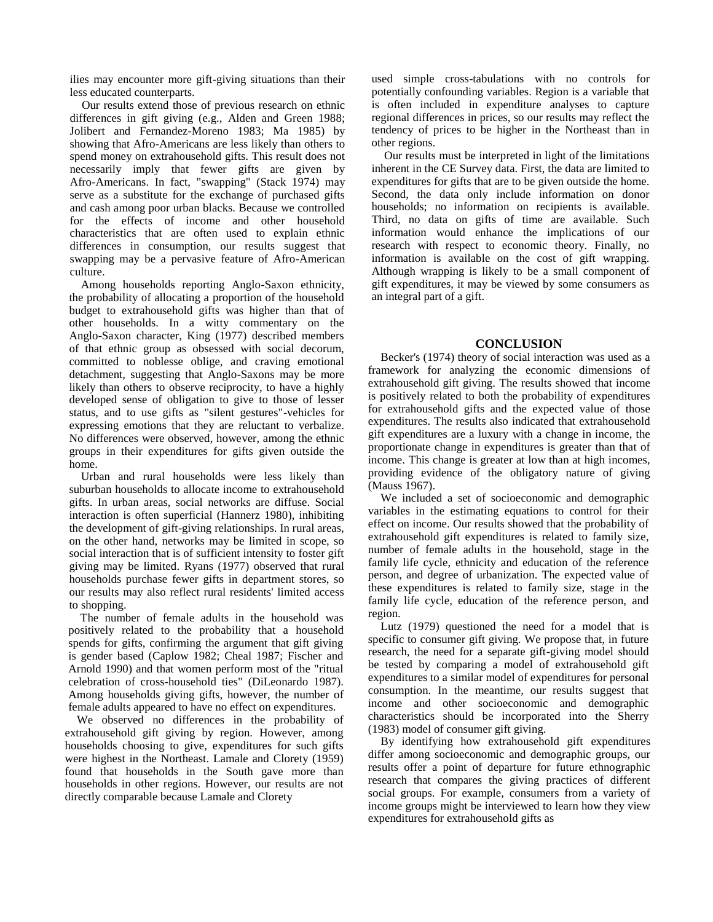ilies may encounter more gift-giving situations than their less educated counterparts.

Our results extend those of previous research on ethnic differences in gift giving (e.g., Alden and Green 1988; Jolibert and Fernandez-Moreno 1983; Ma 1985) by showing that Afro-Americans are less likely than others to spend money on extrahousehold gifts. This result does not necessarily imply that fewer gifts are given by Afro-Americans. In fact, "swapping" (Stack 1974) may serve as a substitute for the exchange of purchased gifts and cash among poor urban blacks. Because we controlled for the effects of income and other household characteristics that are often used to explain ethnic differences in consumption, our results suggest that swapping may be a pervasive feature of Afro-American culture.

Among households reporting Anglo-Saxon ethnicity, the probability of allocating a proportion of the household budget to extrahousehold gifts was higher than that of other households. In a witty commentary on the Anglo-Saxon character, King (1977) described members of that ethnic group as obsessed with social decorum, committed to noblesse oblige, and craving emotional detachment, suggesting that Anglo-Saxons may be more likely than others to observe reciprocity, to have a highly developed sense of obligation to give to those of lesser status, and to use gifts as "silent gestures"-vehicles for expressing emotions that they are reluctant to verbalize. No differences were observed, however, among the ethnic groups in their expenditures for gifts given outside the home.

Urban and rural households were less likely than suburban households to allocate income to extrahousehold gifts. In urban areas, social networks are diffuse. Social interaction is often superficial (Hannerz 1980), inhibiting the development of gift-giving relationships. In rural areas, on the other hand, networks may be limited in scope, so social interaction that is of sufficient intensity to foster gift giving may be limited. Ryans (1977) observed that rural households purchase fewer gifts in department stores, so our results may also reflect rural residents' limited access to shopping.

The number of female adults in the household was positively related to the probability that a household spends for gifts, confirming the argument that gift giving is gender based (Caplow 1982; Cheal 1987; Fischer and Arnold 1990) and that women perform most of the "ritual celebration of cross-household ties" (DiLeonardo 1987). Among households giving gifts, however, the number of female adults appeared to have no effect on expenditures.

We observed no differences in the probability of extrahousehold gift giving by region. However, among households choosing to give, expenditures for such gifts were highest in the Northeast. Lamale and Clorety (1959) found that households in the South gave more than households in other regions. However, our results are not directly comparable because Lamale and Clorety

used simple cross-tabulations with no controls for potentially confounding variables. Region is a variable that is often included in expenditure analyses to capture regional differences in prices, so our results may reflect the tendency of prices to be higher in the Northeast than in other regions.

Our results must be interpreted in light of the limitations inherent in the CE Survey data. First, the data are limited to expenditures for gifts that are to be given outside the home. Second, the data only include information on donor households; no information on recipients is available. Third, no data on gifts of time are available. Such information would enhance the implications of our research with respect to economic theory. Finally, no information is available on the cost of gift wrapping. Although wrapping is likely to be a small component of gift expenditures, it may be viewed by some consumers as an integral part of a gift.

## **CONCLUSION**

Becker's (1974) theory of social interaction was used as a framework for analyzing the economic dimensions of extrahousehold gift giving. The results showed that income is positively related to both the probability of expenditures for extrahousehold gifts and the expected value of those expenditures. The results also indicated that extrahousehold gift expenditures are a luxury with a change in income, the proportionate change in expenditures is greater than that of income. This change is greater at low than at high incomes, providing evidence of the obligatory nature of giving (Mauss 1967).

We included a set of socioeconomic and demographic variables in the estimating equations to control for their effect on income. Our results showed that the probability of extrahousehold gift expenditures is related to family size, number of female adults in the household, stage in the family life cycle, ethnicity and education of the reference person, and degree of urbanization. The expected value of these expenditures is related to family size, stage in the family life cycle, education of the reference person, and region.

Lutz (1979) questioned the need for a model that is specific to consumer gift giving. We propose that, in future research, the need for a separate gift-giving model should be tested by comparing a model of extrahousehold gift expenditures to a similar model of expenditures for personal consumption. In the meantime, our results suggest that income and other socioeconomic and demographic characteristics should be incorporated into the Sherry (1983) model of consumer gift giving.

By identifying how extrahousehold gift expenditures differ among socioeconomic and demographic groups, our results offer a point of departure for future ethnographic research that compares the giving practices of different social groups. For example, consumers from a variety of income groups might be interviewed to learn how they view expenditures for extrahousehold gifts as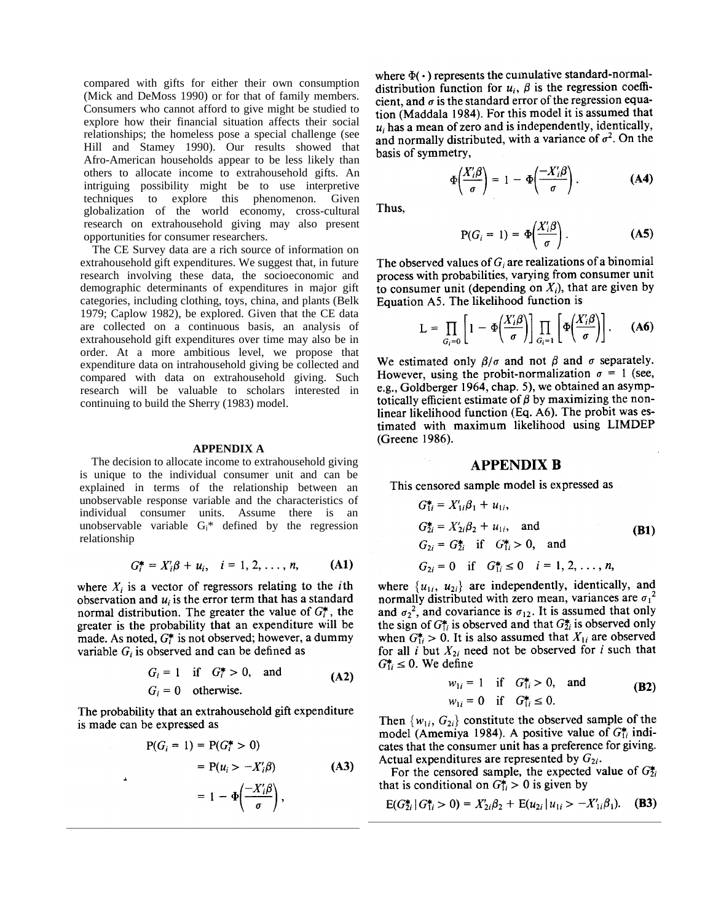compared with gifts for either their own consumption (Mick and DeMoss 1990) or for that of family members. Consumers who cannot afford to give might be studied to explore how their financial situation affects their social relationships; the homeless pose a special challenge (see Hill and Stamey 1990). Our results showed that Afro-American households appear to be less likely than others to allocate income to extrahousehold gifts. An intriguing possibility might be to use interpretive techniques to explore this phenomenon. Given globalization of the world economy, cross-cultural research on extrahousehold giving may also present opportunities for consumer researchers.

The CE Survey data are a rich source of information on extrahousehold gift expenditures. We suggest that, in future research involving these data, the socioeconomic and demographic determinants of expenditures in major gift categories, including clothing, toys, china, and plants (Belk 1979; Caplow 1982), be explored. Given that the CE data are collected on a continuous basis, an analysis of extrahousehold gift expenditures over time may also be in order. At a more ambitious level, we propose that expenditure data on intrahousehold giving be collected and compared with data on extrahousehold giving. Such research will be valuable to scholars interested in continuing to build the Sherry (1983) model.

#### **APPENDIX A**

The decision to allocate income to extrahousehold giving is unique to the individual consumer unit and can be explained in terms of the relationship between an unobservable response variable and the characteristics of individual consumer units. Assume there is an unobservable variable  $G_i^*$  defined by the regression relationship

$$
G_i^* = X_i' \beta + u_i, \quad i = 1, 2, ..., n,
$$
 (A1)

where  $X_i$  is a vector of regressors relating to the *i*th observation and  $u_i$  is the error term that has a standard normal distribution. The greater the value of  $G_i^*$ , the greater is the probability that an expenditure will be made. As noted,  $G_i^*$  is not observed; however, a dummy variable  $G_i$  is observed and can be defined as

$$
G_i = 1 \quad \text{if} \quad G_i^* > 0, \quad \text{and}
$$
  
\n
$$
G_i = 0 \quad \text{otherwise.}
$$
 (A2)

The probability that an extrahousehold gift expenditure is made can be expressed as

 $\overline{a}$ 

$$
P(G_i = 1) = P(G_i^* > 0)
$$
  
= P(u<sub>i</sub> > -X'<sub>i</sub>\beta) (A3)  
= 1 -  $\Phi\left(\frac{-X'_i\beta}{\sigma}\right)$ ,

where  $\Phi(\cdot)$  represents the cumulative standard-normaldistribution function for  $u_i$ ,  $\beta$  is the regression coefficient, and  $\sigma$  is the standard error of the regression equation (Maddala 1984). For this model it is assumed that  $u_i$  has a mean of zero and is independently, identically, and normally distributed, with a variance of  $\sigma^2$ . On the basis of symmetry,

$$
\Phi\left(\frac{X_i'\beta}{\sigma}\right) = 1 - \Phi\left(\frac{-X_i'\beta}{\sigma}\right). \tag{A4}
$$

Thus.

$$
P(G_i = 1) = \Phi\left(\frac{X_i'\beta}{\sigma}\right). \tag{A5}
$$

The observed values of  $G_i$  are realizations of a binomial process with probabilities, varying from consumer unit to consumer unit (depending on  $X_i$ ), that are given by Equation A5. The likelihood function is

$$
L = \prod_{G_i=0} \left[1 - \Phi\left(\frac{X_i'\beta}{\sigma}\right)\right] \prod_{G_i=1} \left[\Phi\left(\frac{X_i'\beta}{\sigma}\right)\right]. \tag{A6}
$$

We estimated only  $\beta/\sigma$  and not  $\beta$  and  $\sigma$  separately. However, using the probit-normalization  $\sigma = 1$  (see, e.g., Goldberger 1964, chap. 5), we obtained an asymptotically efficient estimate of  $\beta$  by maximizing the nonlinear likelihood function (Eq. A6). The probit was estimated with maximum likelihood using LIMDEP (Greene 1986).

## **APPENDIX B**

This censored sample model is expressed as

$$
G_{1i}^{*} = X'_{1i}\beta_{1} + u_{1i},
$$
  
\n
$$
G_{2i}^{*} = X'_{2i}\beta_{2} + u_{1i}, \text{ and}
$$
  
\n
$$
G_{2i} = G_{2i}^{*} \text{ if } G_{1i}^{*} > 0, \text{ and}
$$
  
\n
$$
G_{2i} = 0 \text{ if } G_{1i}^{*} \le 0 \text{ } i = 1, 2, ..., n,
$$
\n(B1)

where  $\{u_{1i}, u_{2i}\}$  are independently, identically, and normally distributed with zero mean, variances are  $\sigma_1^2$ and  $\sigma_2^2$ , and covariance is  $\sigma_{12}$ . It is assumed that only the sign of  $G_{1i}^*$  is observed and that  $G_{2i}^*$  is observed only when  $G_{1i}^* > 0$ . It is also assumed that  $X_{1i}$  are observed for all i but  $X_{2i}$  need not be observed for i such that  $G_{1i}^* \leq 0$ . We define

$$
w_{1i} = 1 \quad \text{if} \quad G_{1i}^{*} > 0, \quad \text{and}
$$
  
\n
$$
w_{1i} = 0 \quad \text{if} \quad G_{1i}^{*} \le 0.
$$
 (B2)

Then  $\{w_{1i}, G_{2i}\}$  constitute the observed sample of the model (Amemiya 1984). A positive value of  $G_{1i}^*$  indicates that the consumer unit has a preference for giving. Actual expenditures are represented by  $G_{2i}$ .

For the censored sample, the expected value of  $G_{2i}^*$ that is conditional on  $G_{1i}^* > 0$  is given by

$$
E(G_{2i}^* | G_{1i}^* > 0) = X_{2i}'\beta_2 + E(u_{2i} | u_{1i} > -X_{1i}'\beta_1).
$$
 (B3)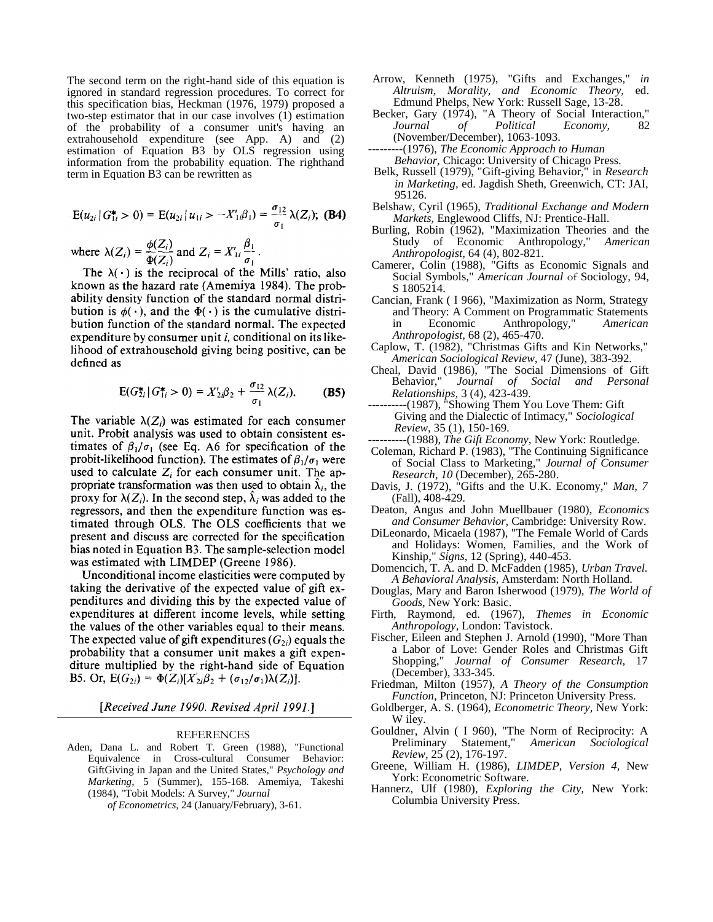The second term on the right-hand side of this equation is ignored in standard regression procedures. To correct for this specification bias, Heckman (1976, 1979) proposed a two-step estimator that in our case involves (1) estimation of the probability of a consumer unit's having an extrahousehold expenditure (see App. A) and (2) estimation of Equation B3 by OLS regression using information from the probability equation. The righthand term in Equation B3 can be rewritten as

$$
E(u_{2i} | G_{1i}^* > 0) = E(u_{2i} | u_{1i} > -X'_{1i} \beta_1) = \frac{\sigma_{12}}{\sigma_1} \lambda(Z_i); \text{ (B4)}
$$
  
where  $\lambda(Z_i) = \frac{\phi(Z_i)}{\Phi(Z_i)}$  and  $Z_i = X'_{1i} \frac{\beta_1}{\sigma_1}$ .

The  $\lambda(\cdot)$  is the reciprocal of the Mills' ratio, also known as the hazard rate (Amemiya 1984). The probability density function of the standard normal distribution is  $\phi(\cdot)$ , and the  $\Phi(\cdot)$  is the cumulative distribution function of the standard normal. The expected expenditure by consumer unit *i*, conditional on its likelihood of extrahousehold giving being positive, can be defined as

$$
E(G_{2i}^{\star} | G_{1i}^{\star} > 0) = X'_{2i} \beta_2 + \frac{\sigma_{12}}{\sigma_1} \lambda(Z_i). \tag{B5}
$$

The variable  $\lambda(Z_i)$  was estimated for each consumer unit. Probit analysis was used to obtain consistent estimates of  $\beta_1/\sigma_1$  (see Eq. A6 for specification of the probit-likelihood function). The estimates of  $\beta_1/\sigma_1$  were used to calculate  $Z_i$  for each consumer unit. The appropriate transformation was then used to obtain  $\lambda_i$ , the proxy for  $\lambda(Z_i)$ . In the second step,  $\lambda_i$  was added to the regressors, and then the expenditure function was estimated through OLS. The OLS coefficients that we present and discuss are corrected for the specification bias noted in Equation B3. The sample-selection model was estimated with LIMDEP (Greene 1986).

Unconditional income elasticities were computed by taking the derivative of the expected value of gift expenditures and dividing this by the expected value of expenditures at different income levels, while setting the values of the other variables equal to their means. The expected value of gift expenditures  $(G_{2i})$  equals the probability that a consumer unit makes a gift expenditure multiplied by the right-hand side of Equation B5. Or,  $E(G_{2i}) = \Phi(Z_i)[X'_{2i}\beta_2 + (\sigma_{12}/\sigma_1)\lambda(Z_i)].$ 

[Received June 1990. Revised April 1991.]

#### REFERENCES

Aden, Dana L. and Robert T. Green (1988), "Functional Equivalence in Cross-cultural Consumer Behavior: GiftGiving in Japan and the United States," *Psychology and Marketing,* 5 (Summer), 155-168. Amemiya, Takeshi (1984), "Tobit Models: A Survey," *Journal*

*of Econometrics,* 24 (January/February), 3-61.

- Arrow, Kenneth (1975), "Gifts and Exchanges," *in Altruism, Morality, and Economic Theory,* ed. Edmund Phelps, New York: Russell Sage, 13-28.
- Becker, Gary (1974), "A Theory of Social Interaction," *Journal of Political Economy,* 82 (November/December), 1063-1093.

---------(1976), *The Economic Approach to Human Behavior,* Chicago: University of Chicago Press.

- Belk, Russell (1979), "Gift-giving Behavior," in *Research in Marketing,* ed. Jagdish Sheth, Greenwich, CT: JAI, 95126.
- Belshaw, Cyril (1965), *Traditional Exchange and Modern Markets,* Englewood Cliffs, NJ: Prentice-Hall.
- Burling, Robin (1962), "Maximization Theories and the Study of Economic Anthropology," *American Anthropologist,* 64 (4), 802-821.
- Camerer, Colin (1988), "Gifts as Economic Signals and Social Symbols," *American Journal* of Sociology, 94, S 1805214.
- Cancian, Frank ( I 966), "Maximization as Norm, Strategy and Theory: A Comment on Programmatic Statements in Economic Anthropology," *American Anthropologist,* 68 (2), 465-470.
- Caplow, T. (1982), "Christmas Gifts and Kin Networks," *American Sociological Review,* 47 (June), 383-392.
- Cheal, David (1986), "The Social Dimensions of Gift Behavior," *Journal of Social and Personal Relationships,* 3 (4), 423-439.
- ----------(1987), "Showing Them You Love Them: Gift Giving and the Dialectic of Intimacy," *Sociological Review,* 35 (1), 150-169.
- ----------(1988), *The Gift Economy,* New York: Routledge.
- Coleman, Richard P. (1983), "The Continuing Significance of Social Class to Marketing," *Journal of Consumer Research, 10* (December), 265-280.
- Davis, J. (1972), "Gifts and the U.K. Economy," *Man, 7*  (Fall), 408-429.
- Deaton, Angus and John Muellbauer (1980), *Economics and Consumer Behavior,* Cambridge: University Row.
- DiLeonardo, Micaela (1987), "The Female World of Cards and Holidays: Women, Families, and the Work of Kinship," *Signs,* 12 (Spring), 440-453.
- Domencich, T. A. and D. McFadden (1985), *Urban Travel. A Behavioral Analysis,* Amsterdam: North Holland.
- Douglas, Mary and Baron Isherwood (1979), *The World of Goods,* New York: Basic.
- Firth, Raymond, ed. (1967), *Themes in Economic Anthropology,* London: Tavistock.
- Fischer, Eileen and Stephen J. Arnold (1990), "More Than a Labor of Love: Gender Roles and Christmas Gift Shopping," *Journal of Consumer Research,* 17 (December), 333-345.
- Friedman, Milton (1957), *A Theory of the Consumption Function,* Princeton, NJ: Princeton University Press.
- Goldberger, A. S. (1964), *Econometric Theory,* New York: W iley.
- Gouldner, Alvin ( I 960), "The Norm of Reciprocity: A Preliminary Statement," *American Sociological Review,* 25 (2), 176-197.
- Greene, William H. (1986), *LIMDEP, Version 4,* New York: Econometric Software.
- Hannerz, Ulf (1980), *Exploring the City,* New York: Columbia University Press.